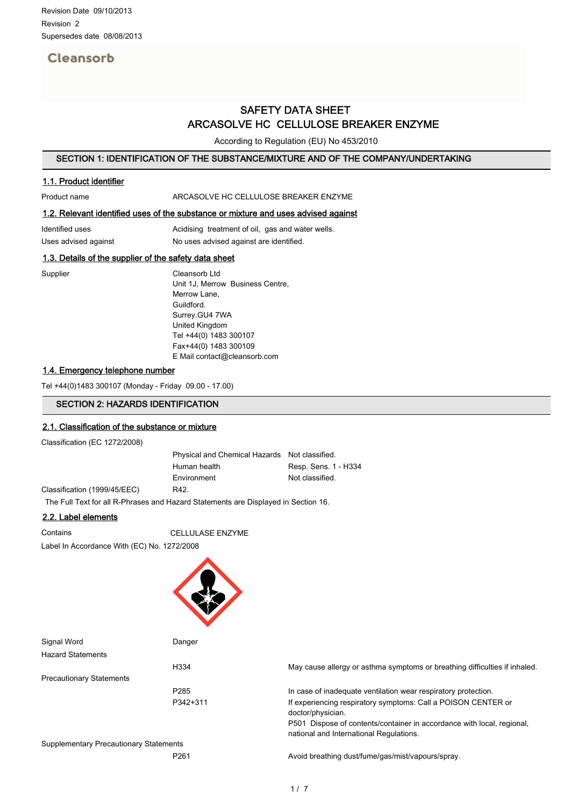# Cleansorb

# SAFETY DATA SHEET ARCASOLVE HC CELLULOSE BREAKER ENZYME

According to Regulation (EU) No 453/2010

### SECTION 1: IDENTIFICATION OF THE SUBSTANCE/MIXTURE AND OF THE COMPANY/UNDERTAKING

# 1.1. Product identifier

### Product name  $ARCASOLVE$  HC CELLULOSE BREAKER ENZYME

# 1.2. Relevant identified uses of the substance or mixture and uses advised against

| Identified uses      | Acidising treatment of oil, gas and water wells. |
|----------------------|--------------------------------------------------|
| Uses advised against | No uses advised against are identified.          |

### 1.3. Details of the supplier of the safety data sheet

Supplier Cleansorb Ltd Unit 1J, Merrow Business Centre, Merrow Lane, Guildford. Surrey.GU4 7WA United Kingdom Tel +44(0) 1483 300107 Fax+44(0) 1483 300109 E Mail contact@cleansorb.com

## 1.4. Emergency telephone number

Tel +44(0)1483 300107 (Monday - Friday 09.00 - 17.00)

## SECTION 2: HAZARDS IDENTIFICATION

### 2.1. Classification of the substance or mixture

Classification (EC 1272/2008)

Physical and Chemical Hazards Not classified. Human health Resp. Sens. 1 - H334 Environment Not classified. Classification (1999/45/EEC) R42.

The Full Text for all R-Phrases and Hazard Statements are Displayed in Section 16.

## 2.2. Label elements

Contains CELLULASE ENZYME

Label In Accordance With (EC) No. 1272/2008



H334 May cause allergy or asthma symptoms or breathing difficulties if inhaled.

P285 **In case of inadequate ventilation wear respiratory protection.** P342+311 If experiencing respiratory symptoms: Call a POISON CENTER or doctor/physician. P501 Dispose of contents/container in accordance with local, regional, national and International Regulations.

P261 **Avoid breathing dust/fume/gas/mist/vapours/spray.**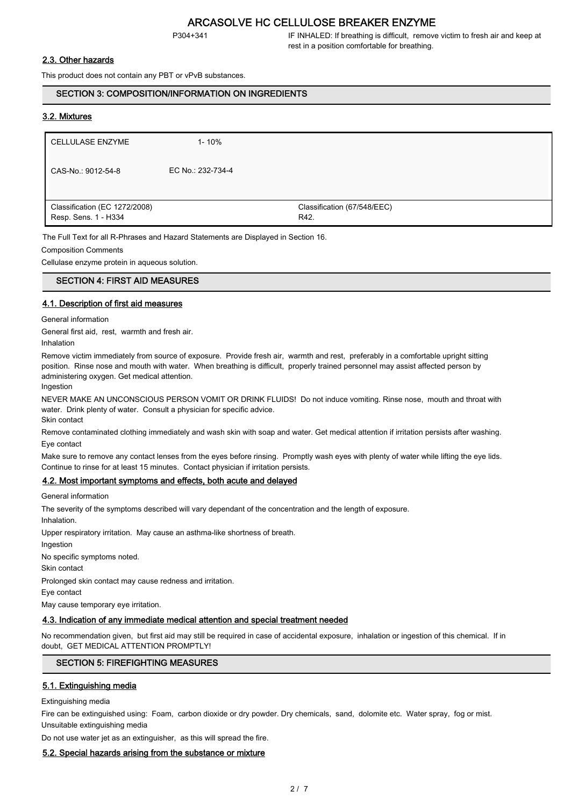P304+341 IF INHALED: If breathing is difficult, remove victim to fresh air and keep at rest in a position comfortable for breathing.

## 2.3. Other hazards

This product does not contain any PBT or vPvB substances.

### SECTION 3: COMPOSITION/INFORMATION ON INGREDIENTS

### 3.2. Mixtures

| <b>CELLULASE ENZYME</b>                               | $1 - 10%$         |                                     |
|-------------------------------------------------------|-------------------|-------------------------------------|
| CAS-No.: 9012-54-8                                    | EC No.: 232-734-4 |                                     |
|                                                       |                   |                                     |
| Classification (EC 1272/2008)<br>Resp. Sens. 1 - H334 |                   | Classification (67/548/EEC)<br>R42. |

The Full Text for all R-Phrases and Hazard Statements are Displayed in Section 16.

Composition Comments

Cellulase enzyme protein in aqueous solution.

## SECTION 4: FIRST AID MEASURES

#### 4.1. Description of first aid measures

General information

General first aid, rest, warmth and fresh air.

Inhalation

Remove victim immediately from source of exposure. Provide fresh air, warmth and rest, preferably in a comfortable upright sitting position. Rinse nose and mouth with water. When breathing is difficult, properly trained personnel may assist affected person by administering oxygen. Get medical attention.

Ingestion

NEVER MAKE AN UNCONSCIOUS PERSON VOMIT OR DRINK FLUIDS! Do not induce vomiting. Rinse nose, mouth and throat with water. Drink plenty of water. Consult a physician for specific advice. Skin contact

Remove contaminated clothing immediately and wash skin with soap and water. Get medical attention if irritation persists after washing. Eye contact

Make sure to remove any contact lenses from the eyes before rinsing. Promptly wash eyes with plenty of water while lifting the eye lids. Continue to rinse for at least 15 minutes. Contact physician if irritation persists.

### 4.2. Most important symptoms and effects, both acute and delayed

General information

The severity of the symptoms described will vary dependant of the concentration and the length of exposure.

Inhalation.

Upper respiratory irritation. May cause an asthma-like shortness of breath.

Ingestion

No specific symptoms noted.

Skin contact

Prolonged skin contact may cause redness and irritation.

Eye contact

May cause temporary eye irritation.

### 4.3. Indication of any immediate medical attention and special treatment needed

No recommendation given, but first aid may still be required in case of accidental exposure, inhalation or ingestion of this chemical. If in doubt, GET MEDICAL ATTENTION PROMPTLY!

### SECTION 5: FIREFIGHTING MEASURES

### 5.1. Extinguishing media

Extinguishing media

Fire can be extinguished using: Foam, carbon dioxide or dry powder. Dry chemicals, sand, dolomite etc. Water spray, fog or mist. Unsuitable extinguishing media

Do not use water jet as an extinguisher, as this will spread the fire.

### 5.2. Special hazards arising from the substance or mixture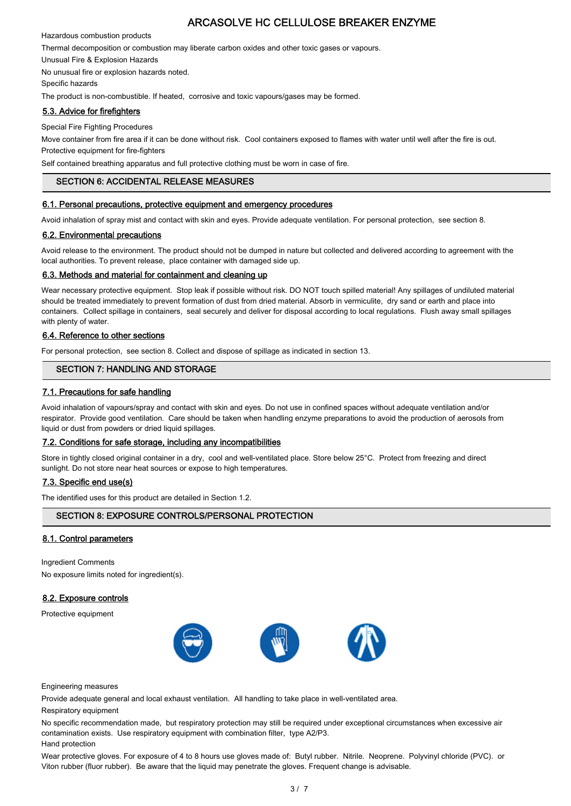Hazardous combustion products

Thermal decomposition or combustion may liberate carbon oxides and other toxic gases or vapours.

Unusual Fire & Explosion Hazards

No unusual fire or explosion hazards noted.

Specific hazards

The product is non-combustible. If heated, corrosive and toxic vapours/gases may be formed.

## 5.3. Advice for firefighters

Special Fire Fighting Procedures

Move container from fire area if it can be done without risk. Cool containers exposed to flames with water until well after the fire is out. Protective equipment for fire-fighters

Self contained breathing apparatus and full protective clothing must be worn in case of fire.

# SECTION 6: ACCIDENTAL RELEASE MEASURES

### 6.1. Personal precautions, protective equipment and emergency procedures

Avoid inhalation of spray mist and contact with skin and eyes. Provide adequate ventilation. For personal protection, see section 8.

## 6.2. Environmental precautions

Avoid release to the environment. The product should not be dumped in nature but collected and delivered according to agreement with the local authorities. To prevent release, place container with damaged side up.

## 6.3. Methods and material for containment and cleaning up

Wear necessary protective equipment. Stop leak if possible without risk. DO NOT touch spilled material! Any spillages of undiluted material should be treated immediately to prevent formation of dust from dried material. Absorb in vermiculite, dry sand or earth and place into containers. Collect spillage in containers, seal securely and deliver for disposal according to local regulations. Flush away small spillages with plenty of water.

## 6.4. Reference to other sections

For personal protection, see section 8. Collect and dispose of spillage as indicated in section 13.

# SECTION 7: HANDLING AND STORAGE

## 7.1. Precautions for safe handling

Avoid inhalation of vapours/spray and contact with skin and eyes. Do not use in confined spaces without adequate ventilation and/or respirator. Provide good ventilation. Care should be taken when handling enzyme preparations to avoid the production of aerosols from liquid or dust from powders or dried liquid spillages.

### 7.2. Conditions for safe storage, including any incompatibilities

Store in tightly closed original container in a dry, cool and well-ventilated place. Store below 25°C. Protect from freezing and direct sunlight. Do not store near heat sources or expose to high temperatures.

### 7.3. Specific end use(s)

The identified uses for this product are detailed in Section 1.2.

# SECTION 8: EXPOSURE CONTROLS/PERSONAL PROTECTION

### 8.1. Control parameters

Ingredient Comments

No exposure limits noted for ingredient(s).

# 8.2. Exposure controls

Protective equipment



Engineering measures

Provide adequate general and local exhaust ventilation. All handling to take place in well-ventilated area.

#### Respiratory equipment

No specific recommendation made, but respiratory protection may still be required under exceptional circumstances when excessive air contamination exists. Use respiratory equipment with combination filter, type A2/P3. Hand protection

Wear protective gloves. For exposure of 4 to 8 hours use gloves made of: Butyl rubber. Nitrile. Neoprene. Polyvinyl chloride (PVC). or Viton rubber (fluor rubber). Be aware that the liquid may penetrate the gloves. Frequent change is advisable.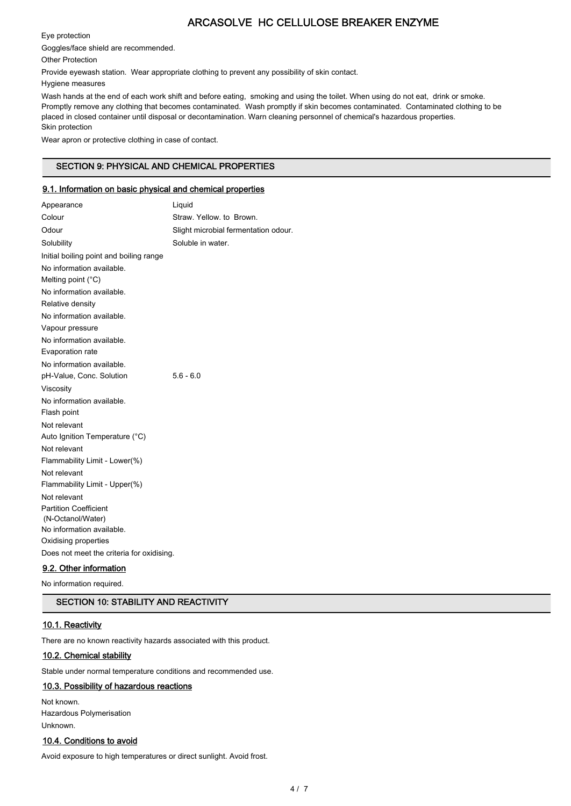Eye protection

Goggles/face shield are recommended.

Other Protection

Provide eyewash station. Wear appropriate clothing to prevent any possibility of skin contact.

Hygiene measures

Wash hands at the end of each work shift and before eating, smoking and using the toilet. When using do not eat, drink or smoke. Promptly remove any clothing that becomes contaminated. Wash promptly if skin becomes contaminated. Contaminated clothing to be placed in closed container until disposal or decontamination. Warn cleaning personnel of chemical's hazardous properties. Skin protection

Wear apron or protective clothing in case of contact.

# SECTION 9: PHYSICAL AND CHEMICAL PROPERTIES

# 9.1. Information on basic physical and chemical properties

| Appearance                                     | Liquid                               |
|------------------------------------------------|--------------------------------------|
| Colour                                         | Straw. Yellow. to Brown.             |
| Odour                                          | Slight microbial fermentation odour. |
| Solubility                                     | Soluble in water.                    |
| Initial boiling point and boiling range        |                                      |
| No information available.                      |                                      |
| Melting point (°C)                             |                                      |
| No information available.                      |                                      |
| Relative density                               |                                      |
| No information available.                      |                                      |
| Vapour pressure                                |                                      |
| No information available.                      |                                      |
| Evaporation rate                               |                                      |
| No information available.                      |                                      |
| pH-Value, Conc. Solution                       | $5.6 - 6.0$                          |
| Viscosity                                      |                                      |
| No information available.                      |                                      |
| Flash point                                    |                                      |
| Not relevant                                   |                                      |
| Auto Ignition Temperature (°C)                 |                                      |
| Not relevant                                   |                                      |
| Flammability Limit - Lower(%)                  |                                      |
| Not relevant                                   |                                      |
| Flammability Limit - Upper(%)                  |                                      |
| Not relevant                                   |                                      |
| <b>Partition Coefficient</b>                   |                                      |
| (N-Octanol/Water)<br>No information available. |                                      |
| Oxidising properties                           |                                      |
| Does not meet the criteria for oxidising.      |                                      |
| Q 2 Other information                          |                                      |
|                                                |                                      |

### <u>9.2. Other information</u>

No information required.

# SECTION 10: STABILITY AND REACTIVITY

### 10.1. Reactivity

There are no known reactivity hazards associated with this product.

## 10.2. Chemical stability

Stable under normal temperature conditions and recommended use.

# 10.3. Possibility of hazardous reactions

Not known. Hazardous Polymerisation Unknown.

# 10.4. Conditions to avoid

Avoid exposure to high temperatures or direct sunlight. Avoid frost.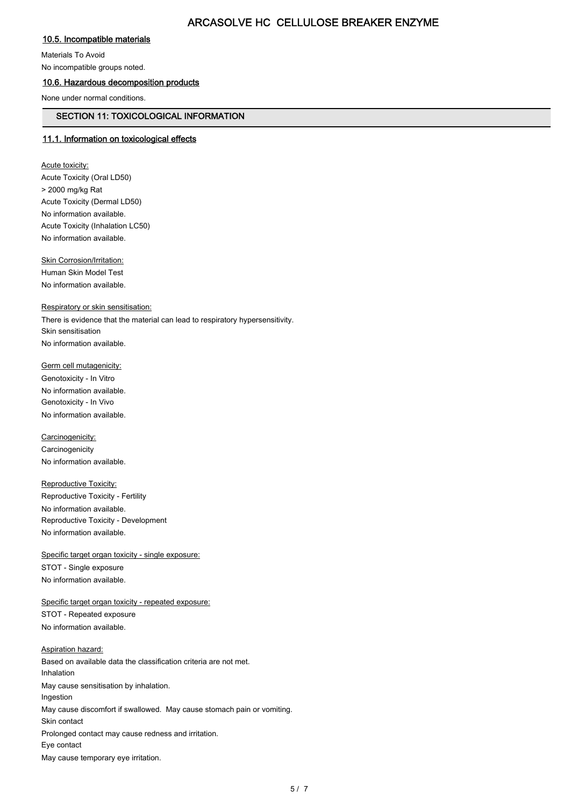# 10.5. Incompatible materials

Materials To Avoid

No incompatible groups noted.

# 10.6. Hazardous decomposition products

None under normal conditions.

# SECTION 11: TOXICOLOGICAL INFORMATION

# 11.1. Information on toxicological effects

**Acute toxicity:** Acute Toxicity (Oral LD50) > 2000 mg/kg Rat Acute Toxicity (Dermal LD50) No information available. Acute Toxicity (Inhalation LC50) No information available.

**Skin Corrosion/Irritation:** 

Human Skin Model Test No information available.

#### Respiratory or skin sensitisation:

There is evidence that the material can lead to respiratory hypersensitivity. Skin sensitisation No information available.

Germ cell mutagenicity: Genotoxicity - In Vitro No information available. Genotoxicity - In Vivo No information available.

Carcinogenicity: **Carcinogenicity** No information available.

Reproductive Toxicity: Reproductive Toxicity - Fertility No information available. Reproductive Toxicity - Development No information available.

Specific target organ toxicity - single exposure: STOT - Single exposure No information available.

Specific target organ toxicity - repeated exposure: STOT - Repeated exposure No information available.

Aspiration hazard: Based on available data the classification criteria are not met. Inhalation May cause sensitisation by inhalation. Ingestion May cause discomfort if swallowed. May cause stomach pain or vomiting. Skin contact Prolonged contact may cause redness and irritation. Eye contact May cause temporary eye irritation.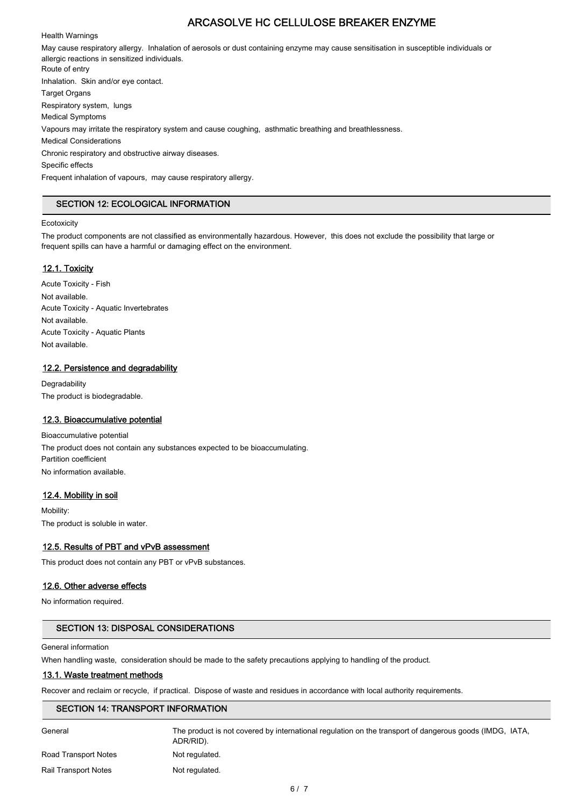#### Health Warnings

May cause respiratory allergy. Inhalation of aerosols or dust containing enzyme may cause sensitisation in susceptible individuals or allergic reactions in sensitized individuals. Route of entry Inhalation. Skin and/or eye contact. Target Organs Respiratory system, lungs Medical Symptoms Vapours may irritate the respiratory system and cause coughing, asthmatic breathing and breathlessness. Medical Considerations Chronic respiratory and obstructive airway diseases. Specific effects Frequent inhalation of vapours, may cause respiratory allergy.

# SECTION 12: ECOLOGICAL INFORMATION

#### **Ecotoxicity**

The product components are not classified as environmentally hazardous. However, this does not exclude the possibility that large or frequent spills can have a harmful or damaging effect on the environment.

## 12.1. Toxicity

Acute Toxicity - Fish Not available. Acute Toxicity - Aquatic Invertebrates Not available. Acute Toxicity - Aquatic Plants Not available.

## 12.2. Persistence and degradability

**Degradability** The product is biodegradable.

### 12.3. Bioaccumulative potential

Bioaccumulative potential The product does not contain any substances expected to be bioaccumulating. Partition coefficient No information available.

# 12.4. Mobility in soil

Mobility: The product is soluble in water.

### 12.5. Results of PBT and vPvB assessment

This product does not contain any PBT or vPvB substances.

## 12.6. Other adverse effects

No information required.

## SECTION 13: DISPOSAL CONSIDERATIONS

#### General information

When handling waste, consideration should be made to the safety precautions applying to handling of the product.

### 13.1. Waste treatment methods

Recover and reclaim or recycle, if practical. Dispose of waste and residues in accordance with local authority requirements.

## SECTION 14: TRANSPORT INFORMATION

| General                     | The product is not covered by international regulation on the transport of dangerous goods (IMDG, IATA,<br>ADR/RID). |
|-----------------------------|----------------------------------------------------------------------------------------------------------------------|
| Road Transport Notes        | Not regulated.                                                                                                       |
| <b>Rail Transport Notes</b> | Not regulated.                                                                                                       |